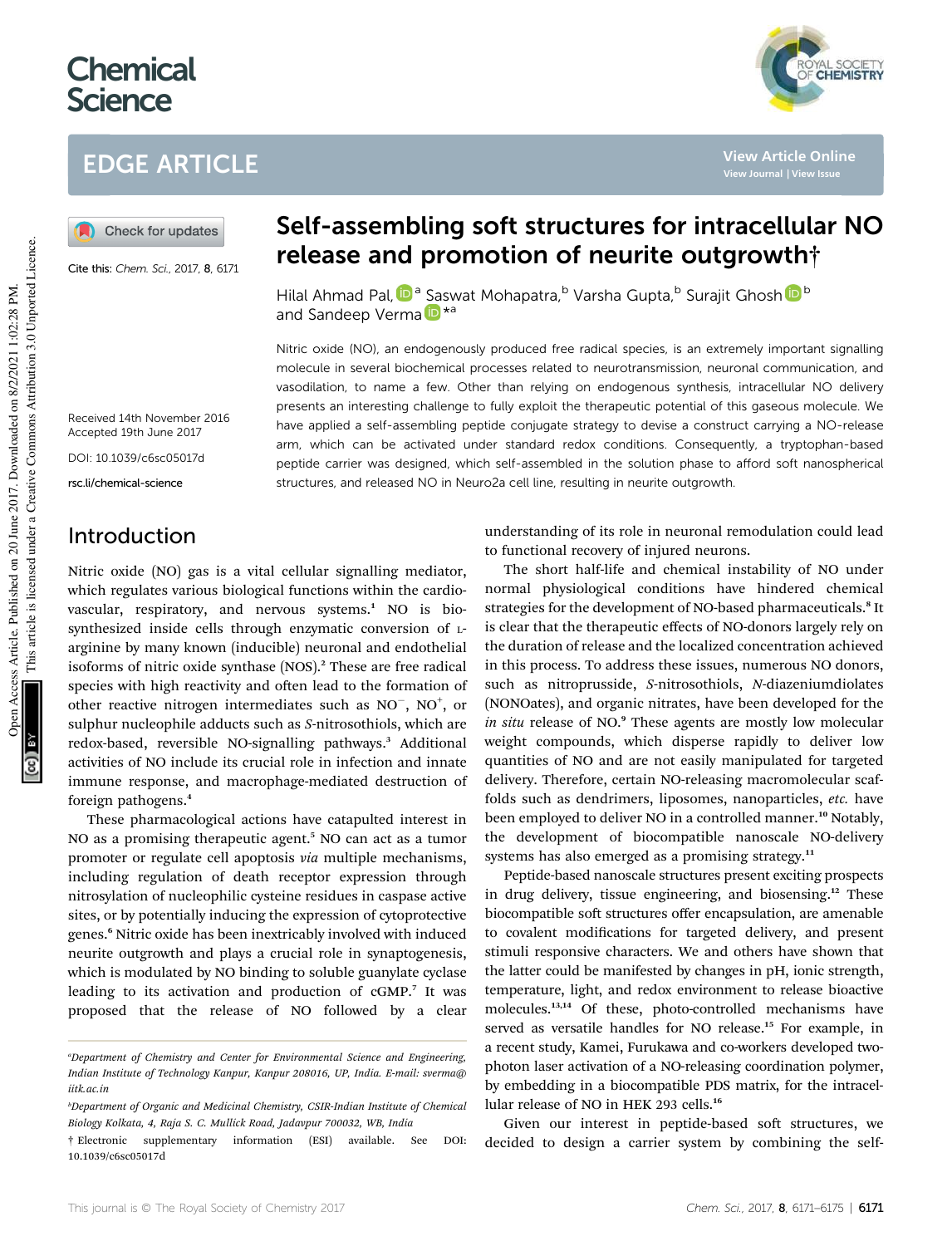# **Chemical Science**

# EDGE ARTICLE

Check for updates

Cite this: Chem. Sci., 2017, 8, 6171



**View Article Online**

**View Journal | View Issue**

## Self-assembling soft structures for intracellular NO release and promotion of neurite outgrowth†

Hilal Ahmad Pal, D<sup>a</sup> Saswat Mohapatra,<sup>b</sup> Varsha Gupta,<sup>b</sup> Surajit Ghosh D<sup>b</sup> and Sandeep Verma<sup>in \*a</sup>

Nitric oxide (NO), an endogenously produced free radical species, is an extremely important signalling molecule in several biochemical processes related to neurotransmission, neuronal communication, and vasodilation, to name a few. Other than relying on endogenous synthesis, intracellular NO delivery presents an interesting challenge to fully exploit the therapeutic potential of this gaseous molecule. We have applied a self-assembling peptide conjugate strategy to devise a construct carrying a NO-release arm, which can be activated under standard redox conditions. Consequently, a tryptophan-based peptide carrier was designed, which self-assembled in the solution phase to afford soft nanospherical structures, and released NO in Neuro2a cell line, resulting in neurite outgrowth.

Received 14th November 2016 Accepted 19th June 2017

DOI: 10.1039/c6sc05017d

rsc.li/chemical-science

### Introduction

Nitric oxide (NO) gas is a vital cellular signalling mediator, which regulates various biological functions within the cardiovascular, respiratory, and nervous systems.<sup>1</sup> NO is biosynthesized inside cells through enzymatic conversion of Larginine by many known (inducible) neuronal and endothelial isoforms of nitric oxide synthase (NOS).<sup>2</sup> These are free radical species with high reactivity and often lead to the formation of other reactive nitrogen intermediates such as  $NO^-$ ,  $NO^+$ , or sulphur nucleophile adducts such as *S*-nitrosothiols, which are redox-based, reversible NO-signalling pathways.<sup>3</sup> Additional activities of NO include its crucial role in infection and innate immune response, and macrophage-mediated destruction of foreign pathogens.<sup>4</sup>

These pharmacological actions have catapulted interest in NO as a promising therapeutic agent.<sup>5</sup> NO can act as a tumor promoter or regulate cell apoptosis *via* multiple mechanisms, including regulation of death receptor expression through nitrosylation of nucleophilic cysteine residues in caspase active sites, or by potentially inducing the expression of cytoprotective genes.<sup>6</sup> Nitric oxide has been inextricably involved with induced neurite outgrowth and plays a crucial role in synaptogenesis, which is modulated by NO binding to soluble guanylate cyclase leading to its activation and production of cGMP.<sup>7</sup> It was proposed that the release of NO followed by a clear understanding of its role in neuronal remodulation could lead to functional recovery of injured neurons.

The short half-life and chemical instability of NO under normal physiological conditions have hindered chemical strategies for the development of NO-based pharmaceuticals.<sup>8</sup> It is clear that the therapeutic effects of NO-donors largely rely on the duration of release and the localized concentration achieved in this process. To address these issues, numerous NO donors, such as nitroprusside, *S*-nitrosothiols, *N*-diazeniumdiolates (NONOates), and organic nitrates, have been developed for the *in situ* release of NO.<sup>9</sup> These agents are mostly low molecular weight compounds, which disperse rapidly to deliver low quantities of NO and are not easily manipulated for targeted delivery. Therefore, certain NO-releasing macromolecular scaffolds such as dendrimers, liposomes, nanoparticles, *etc.* have been employed to deliver NO in a controlled manner.<sup>10</sup> Notably, the development of biocompatible nanoscale NO-delivery systems has also emerged as a promising strategy.<sup>11</sup>

Peptide-based nanoscale structures present exciting prospects in drug delivery, tissue engineering, and biosensing.<sup>12</sup> These biocompatible soft structures offer encapsulation, are amenable to covalent modifications for targeted delivery, and present stimuli responsive characters. We and others have shown that the latter could be manifested by changes in pH, ionic strength, temperature, light, and redox environment to release bioactive molecules.<sup>13,14</sup> Of these, photo-controlled mechanisms have served as versatile handles for NO release.<sup>15</sup> For example, in a recent study, Kamei, Furukawa and co-workers developed twophoton laser activation of a NO-releasing coordination polymer, by embedding in a biocompatible PDS matrix, for the intracellular release of NO in HEK 293 cells.<sup>16</sup>

Given our interest in peptide-based soft structures, we decided to design a carrier system by combining the self-

*<sup>a</sup>Department of Chemistry and Center for Environmental Science and Engineering, Indian Institute of Technology Kanpur, Kanpur 208016, UP, India. E-mail: sverma@ iitk.ac.in*

*<sup>b</sup>Department of Organic and Medicinal Chemistry, CSIR-Indian Institute of Chemical Biology Kolkata, 4, Raja S. C. Mullick Road, Jadavpur 700032, WB, India*

<sup>†</sup> Electronic supplementary information (ESI) available. See DOI: 10.1039/c6sc05017d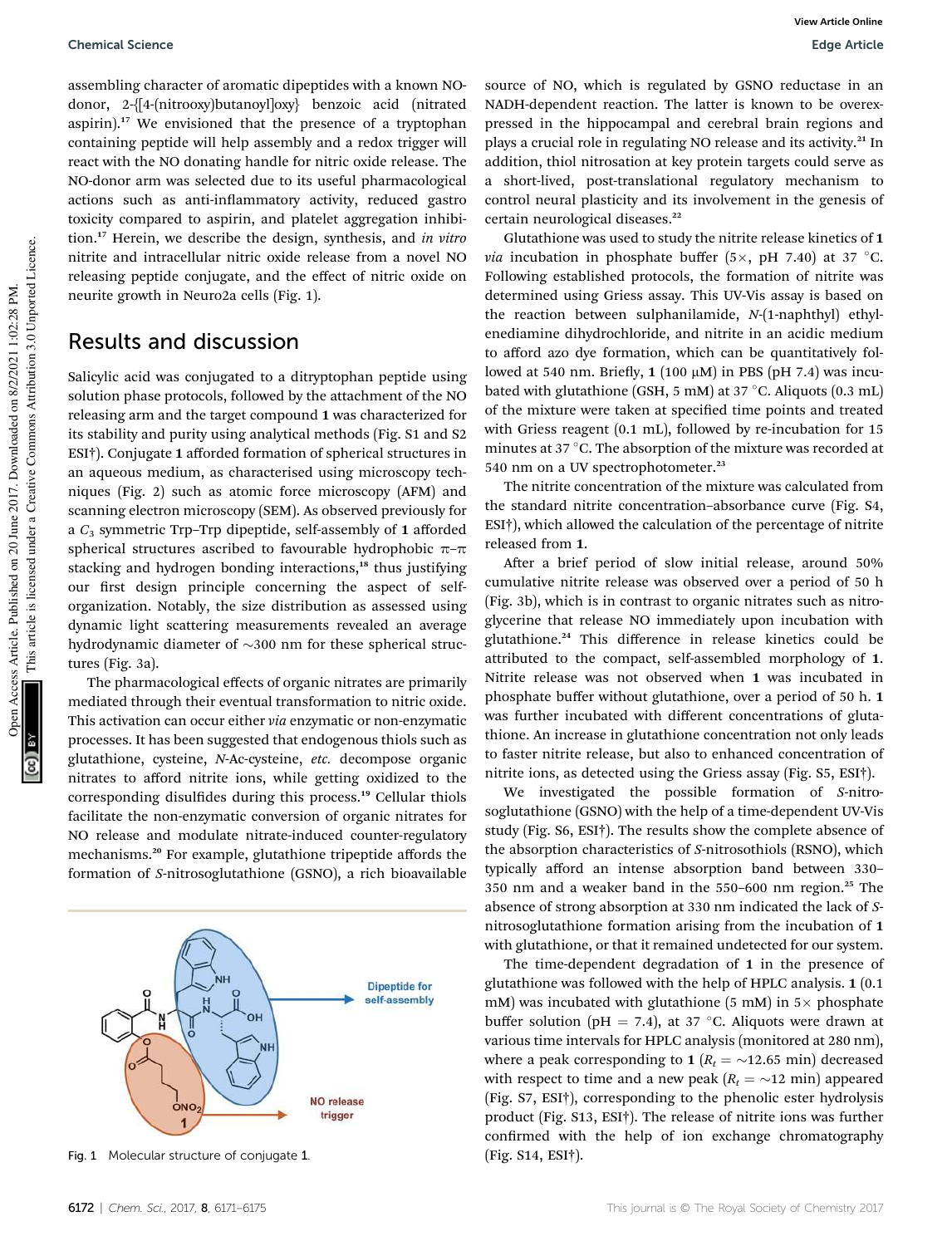#### Chemical Science Edge Article

assembling character of aromatic dipeptides with a known NOdonor, 2-{[4-(nitrooxy)butanoyl]oxy} benzoic acid (nitrated aspirin).<sup>17</sup> We envisioned that the presence of a tryptophan containing peptide will help assembly and a redox trigger will react with the NO donating handle for nitric oxide release. The NO-donor arm was selected due to its useful pharmacological actions such as anti-inflammatory activity, reduced gastro toxicity compared to aspirin, and platelet aggregation inhibition.<sup>17</sup> Herein, we describe the design, synthesis, and *in vitro* nitrite and intracellular nitric oxide release from a novel NO releasing peptide conjugate, and the effect of nitric oxide on neurite growth in Neuro2a cells (Fig. 1).

### Results and discussion

Salicylic acid was conjugated to a ditryptophan peptide using solution phase protocols, followed by the attachment of the NO releasing arm and the target compound 1 was characterized for its stability and purity using analytical methods (Fig. S1 and S2 ESI†). Conjugate 1 afforded formation of spherical structures in an aqueous medium, as characterised using microscopy techniques (Fig. 2) such as atomic force microscopy (AFM) and scanning electron microscopy (SEM). As observed previously for a *C*<sup>3</sup> symmetric Trp–Trp dipeptide, self-assembly of 1 afforded spherical structures ascribed to favourable hydrophobic  $\pi$ - $\pi$ stacking and hydrogen bonding interactions,<sup>18</sup> thus justifying our first design principle concerning the aspect of selforganization. Notably, the size distribution as assessed using dynamic light scattering measurements revealed an average hydrodynamic diameter of  $\sim$ 300 nm for these spherical structures (Fig. 3a).

The pharmacological effects of organic nitrates are primarily mediated through their eventual transformation to nitric oxide. This activation can occur either *via* enzymatic or non-enzymatic processes. It has been suggested that endogenous thiols such as glutathione, cysteine, *N*-Ac-cysteine, *etc.* decompose organic nitrates to afford nitrite ions, while getting oxidized to the corresponding disulfides during this process.<sup>19</sup> Cellular thiols facilitate the non-enzymatic conversion of organic nitrates for NO release and modulate nitrate-induced counter-regulatory mechanisms.<sup>20</sup> For example, glutathione tripeptide affords the formation of *S*-nitrosoglutathione (GSNO), a rich bioavailable



Fig. 1 Molecular structure of conjugate 1. (Fig. S14, ESI†).

Open Access Article. Published on 20 June 2017. Downloaded on 8/2/2021 1:02:28 PM.

oen Access Article. Published on 20 June 2017. Downloaded on 8/2/2021 1:02:28 PM.

This article is licensed under a Creative Commons Attribution 3.0 Unported Licence.

This article is licensed under a Creative Commons Attribution 3.0 Unported Licence.

source of NO, which is regulated by GSNO reductase in an NADH-dependent reaction. The latter is known to be overexpressed in the hippocampal and cerebral brain regions and plays a crucial role in regulating NO release and its activity.<sup>21</sup> In addition, thiol nitrosation at key protein targets could serve as a short-lived, post-translational regulatory mechanism to control neural plasticity and its involvement in the genesis of certain neurological diseases.<sup>22</sup>

Glutathione was used to study the nitrite release kinetics of 1 *via* incubation in phosphate buffer (5 $\times$ , pH 7.40) at 37 °C. Following established protocols, the formation of nitrite was determined using Griess assay. This UV-Vis assay is based on the reaction between sulphanilamide, *N*-(1-naphthyl) ethylenediamine dihydrochloride, and nitrite in an acidic medium to afford azo dye formation, which can be quantitatively followed at 540 nm. Briefly,  $1(100 \mu M)$  in PBS (pH 7.4) was incubated with glutathione (GSH, 5 mM) at 37 °C. Aliquots (0.3 mL) of the mixture were taken at specified time points and treated with Griess reagent (0.1 mL), followed by re-incubation for 15 minutes at  $37^{\circ}$ C. The absorption of the mixture was recorded at 540 nm on a UV spectrophotometer.<sup>23</sup>

The nitrite concentration of the mixture was calculated from the standard nitrite concentration–absorbance curve (Fig. S4, ESI†), which allowed the calculation of the percentage of nitrite released from 1.

After a brief period of slow initial release, around 50% cumulative nitrite release was observed over a period of 50 h (Fig. 3b), which is in contrast to organic nitrates such as nitroglycerine that release NO immediately upon incubation with glutathione.<sup>24</sup> This difference in release kinetics could be attributed to the compact, self-assembled morphology of 1. Nitrite release was not observed when 1 was incubated in phosphate buffer without glutathione, over a period of 50 h. 1 was further incubated with different concentrations of glutathione. An increase in glutathione concentration not only leads to faster nitrite release, but also to enhanced concentration of nitrite ions, as detected using the Griess assay (Fig. S5, ESI†).

We investigated the possible formation of *S*-nitrosoglutathione (GSNO) with the help of a time-dependent UV-Vis study (Fig. S6, ESI†). The results show the complete absence of the absorption characteristics of *S*-nitrosothiols (RSNO), which typically afford an intense absorption band between 330– 350 nm and a weaker band in the 550–600 nm region.<sup>25</sup> The absence of strong absorption at 330 nm indicated the lack of *S*nitrosoglutathione formation arising from the incubation of 1 with glutathione, or that it remained undetected for our system.

The time-dependent degradation of 1 in the presence of glutathione was followed with the help of HPLC analysis. 1 (0.1 mM) was incubated with glutathione (5 mM) in  $5\times$  phosphate buffer solution (pH = 7.4), at 37 °C. Aliquots were drawn at various time intervals for HPLC analysis (monitored at 280 nm), where a peak corresponding to 1 ( $R_t = \sim 12.65$  min) decreased with respect to time and a new peak  $(R_t = \sim 12 \text{ min})$  appeared (Fig. S7, ESI†), corresponding to the phenolic ester hydrolysis product (Fig. S13, ESI†). The release of nitrite ions was further confirmed with the help of ion exchange chromatography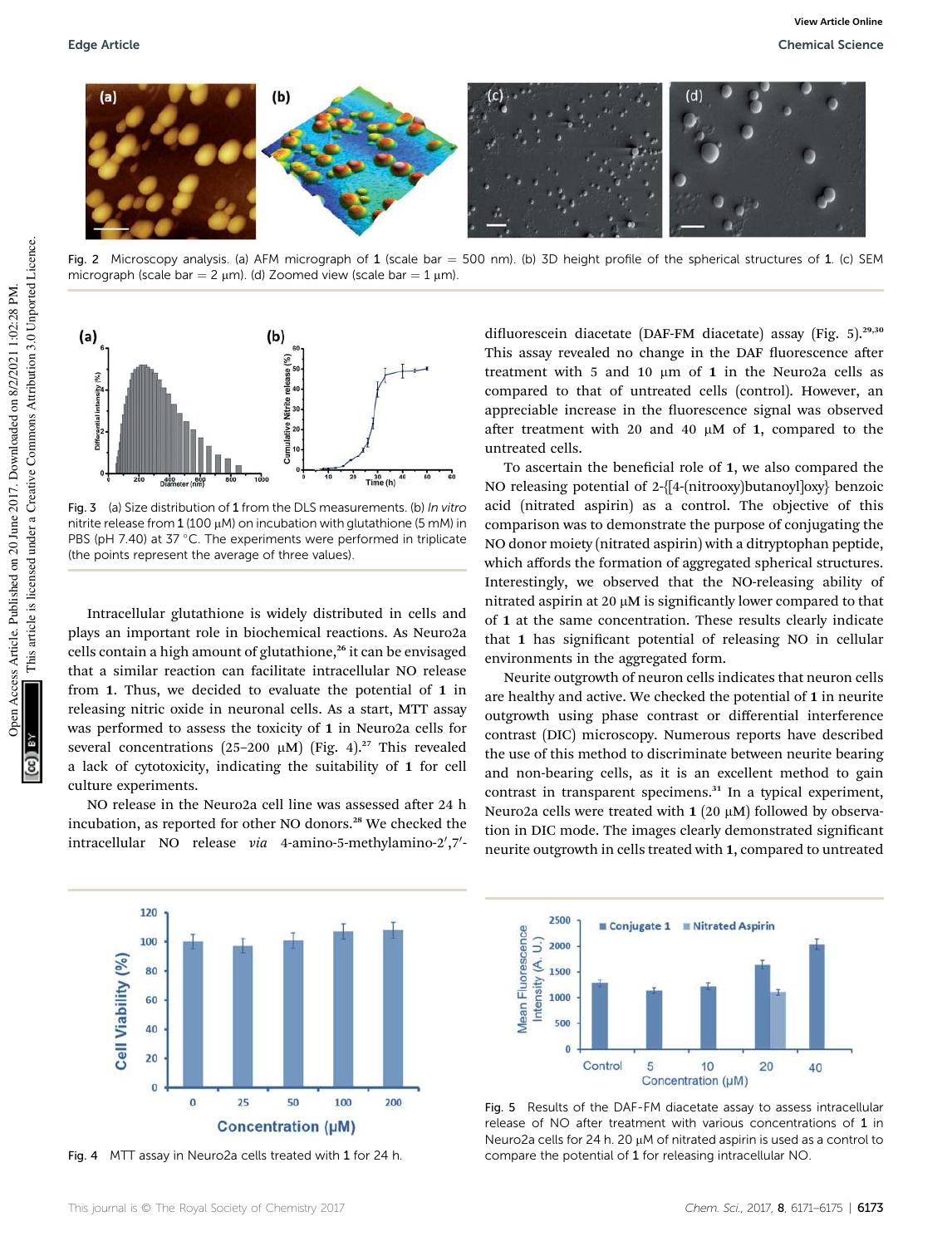

Fig. 2 Microscopy analysis. (a) AFM micrograph of 1 (scale bar = 500 nm). (b) 3D height profile of the spherical structures of 1. (c) SEM micrograph (scale bar =  $2 \mu m$ ). (d) Zoomed view (scale bar =  $1 \mu m$ ).



Fig. 3 (a) Size distribution of 1 from the DLS measurements. (b) In vitro nitrite release from  $1(100 \mu M)$  on incubation with glutathione (5 mM) in PBS (pH 7.40) at 37  $^{\circ}$ C. The experiments were performed in triplicate (the points represent the average of three values).

Intracellular glutathione is widely distributed in cells and plays an important role in biochemical reactions. As Neuro2a cells contain a high amount of glutathione,<sup>26</sup> it can be envisaged that a similar reaction can facilitate intracellular NO release from 1. Thus, we decided to evaluate the potential of 1 in releasing nitric oxide in neuronal cells. As a start, MTT assay was performed to assess the toxicity of 1 in Neuro2a cells for several concentrations (25-200  $\mu$ M) (Fig. 4).<sup>27</sup> This revealed a lack of cytotoxicity, indicating the suitability of 1 for cell culture experiments.

NO release in the Neuro2a cell line was assessed after 24 h incubation, as reported for other NO donors.<sup>28</sup> We checked the intracellular NO release via 4-amino-5-methylamino-2',7'-



Fig. 4 MTT assay in Neuro2a cells treated with 1 for 24 h.

difluorescein diacetate (DAF-FM diacetate) assay (Fig. 5).<sup>29,30</sup> This assay revealed no change in the DAF fluorescence after treatment with 5 and 10  $\mu$ m of 1 in the Neuro2a cells as compared to that of untreated cells (control). However, an appreciable increase in the fluorescence signal was observed after treatment with 20 and 40  $\mu$ M of 1, compared to the untreated cells.

To ascertain the beneficial role of  $1$ , we also compared the NO releasing potential of 2-{[4-(nitrooxy)butanoyl]oxy} benzoic acid (nitrated aspirin) as a control. The objective of this comparison was to demonstrate the purpose of conjugating the NO donor moiety (nitrated aspirin) with a ditryptophan peptide, which affords the formation of aggregated spherical structures. Interestingly, we observed that the NO-releasing ability of nitrated aspirin at 20  $\mu$ M is significantly lower compared to that of 1 at the same concentration. These results clearly indicate that 1 has signicant potential of releasing NO in cellular environments in the aggregated form.

Neurite outgrowth of neuron cells indicates that neuron cells are healthy and active. We checked the potential of 1 in neurite outgrowth using phase contrast or differential interference contrast (DIC) microscopy. Numerous reports have described the use of this method to discriminate between neurite bearing and non-bearing cells, as it is an excellent method to gain contrast in transparent specimens.<sup>31</sup> In a typical experiment, Neuro2a cells were treated with  $1$  (20  $\mu$ M) followed by observation in DIC mode. The images clearly demonstrated significant neurite outgrowth in cells treated with 1, compared to untreated



Fig. 5 Results of the DAF-FM diacetate assay to assess intracellular release of NO after treatment with various concentrations of 1 in Neuro2a cells for 24 h. 20  $\mu$ M of nitrated aspirin is used as a control to compare the potential of 1 for releasing intracellular NO.

This article is licensed under a Creative Commons Attribution 3.0 Unported Licence.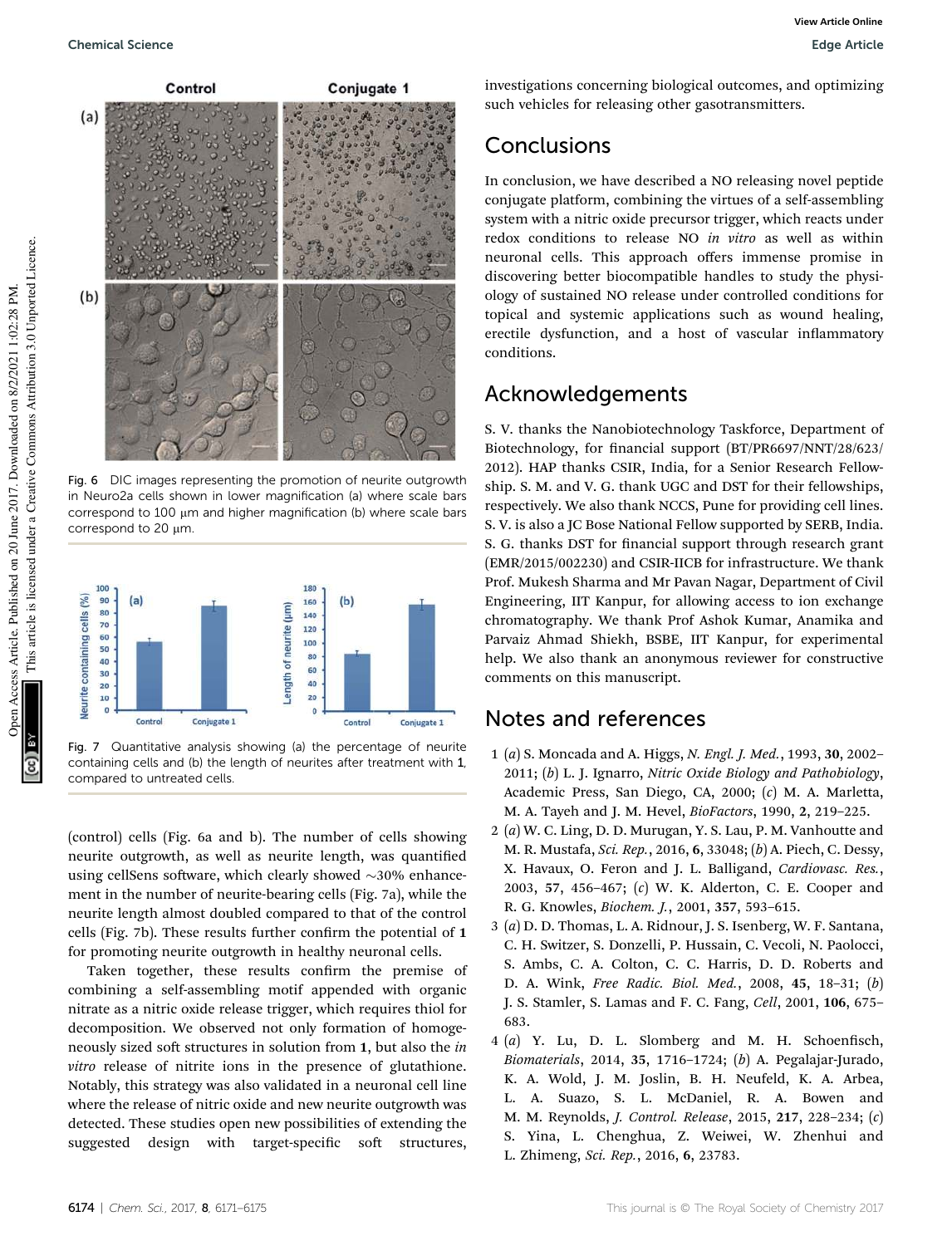

Fig. 6 DIC images representing the promotion of neurite outgrowth in Neuro2a cells shown in lower magnification (a) where scale bars correspond to  $100 \mu m$  and higher magnification (b) where scale bars correspond to 20  $\mu$ m.



Fig. 7 Quantitative analysis showing (a) the percentage of neurite containing cells and (b) the length of neurites after treatment with 1, compared to untreated cells.

(control) cells (Fig. 6a and b). The number of cells showing neurite outgrowth, as well as neurite length, was quantified using cellSens software, which clearly showed  $\sim$ 30% enhancement in the number of neurite-bearing cells (Fig. 7a), while the neurite length almost doubled compared to that of the control cells (Fig. 7b). These results further confirm the potential of 1 for promoting neurite outgrowth in healthy neuronal cells.

Taken together, these results confirm the premise of combining a self-assembling motif appended with organic nitrate as a nitric oxide release trigger, which requires thiol for decomposition. We observed not only formation of homogeneously sized soft structures in solution from 1, but also the *in vitro* release of nitrite ions in the presence of glutathione. Notably, this strategy was also validated in a neuronal cell line where the release of nitric oxide and new neurite outgrowth was detected. These studies open new possibilities of extending the suggested design with target-specific soft structures,

investigations concerning biological outcomes, and optimizing such vehicles for releasing other gasotransmitters.

## Conclusions

In conclusion, we have described a NO releasing novel peptide conjugate platform, combining the virtues of a self-assembling system with a nitric oxide precursor trigger, which reacts under redox conditions to release NO *in vitro* as well as within neuronal cells. This approach offers immense promise in discovering better biocompatible handles to study the physiology of sustained NO release under controlled conditions for topical and systemic applications such as wound healing, erectile dysfunction, and a host of vascular inflammatory conditions.

## Acknowledgements

S. V. thanks the Nanobiotechnology Taskforce, Department of Biotechnology, for financial support (BT/PR6697/NNT/28/623/ 2012). HAP thanks CSIR, India, for a Senior Research Fellowship. S. M. and V. G. thank UGC and DST for their fellowships, respectively. We also thank NCCS, Pune for providing cell lines. S. V. is also a JC Bose National Fellow supported by SERB, India. S. G. thanks DST for financial support through research grant (EMR/2015/002230) and CSIR-IICB for infrastructure. We thank Prof. Mukesh Sharma and Mr Pavan Nagar, Department of Civil Engineering, IIT Kanpur, for allowing access to ion exchange chromatography. We thank Prof Ashok Kumar, Anamika and Parvaiz Ahmad Shiekh, BSBE, IIT Kanpur, for experimental help. We also thank an anonymous reviewer for constructive comments on this manuscript.

### Notes and references

- 1 (*a*) S. Moncada and A. Higgs, *N. Engl. J. Med.*, 1993, 30, 2002– 2011; (*b*) L. J. Ignarro, *Nitric Oxide Biology and Pathobiology*, Academic Press, San Diego, CA, 2000; (*c*) M. A. Marletta, M. A. Tayeh and J. M. Hevel, *BioFactors*, 1990, 2, 219–225.
- 2 (*a*) W. C. Ling, D. D. Murugan, Y. S. Lau, P. M. Vanhoutte and M. R. Mustafa, *Sci. Rep.*, 2016, 6, 33048; (*b*) A. Piech, C. Dessy, X. Havaux, O. Feron and J. L. Balligand, *Cardiovasc. Res.*, 2003, 57, 456–467; (*c*) W. K. Alderton, C. E. Cooper and R. G. Knowles, *Biochem. J.*, 2001, 357, 593–615.
- 3 (*a*) D. D. Thomas, L. A. Ridnour, J. S. Isenberg, W. F. Santana, C. H. Switzer, S. Donzelli, P. Hussain, C. Vecoli, N. Paolocci, S. Ambs, C. A. Colton, C. C. Harris, D. D. Roberts and D. A. Wink, *Free Radic. Biol. Med.*, 2008, 45, 18–31; (*b*) J. S. Stamler, S. Lamas and F. C. Fang, *Cell*, 2001, 106, 675– 683.
- $4$   $(a)$  Y. Lu, D. L. Slomberg and M. H. Schoenfisch, *Biomaterials*, 2014, 35, 1716–1724; (*b*) A. Pegalajar-Jurado, K. A. Wold, J. M. Joslin, B. H. Neufeld, K. A. Arbea, L. A. Suazo, S. L. McDaniel, R. A. Bowen and M. M. Reynolds, *J. Control. Release*, 2015, 217, 228–234; (*c*) S. Yina, L. Chenghua, Z. Weiwei, W. Zhenhui and L. Zhimeng, *Sci. Rep.*, 2016, 6, 23783.